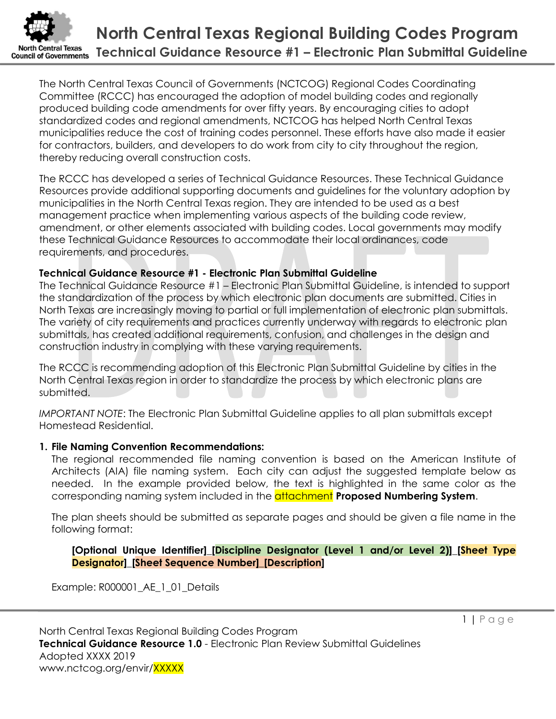

The North Central Texas Council of Governments (NCTCOG) Regional Codes Coordinating Committee (RCCC) has encouraged the adoption of model building codes and regionally produced building code amendments for over fifty years. By encouraging cities to adopt standardized codes and regional amendments, NCTCOG has helped North Central Texas municipalities reduce the cost of training codes personnel. These efforts have also made it easier for contractors, builders, and developers to do work from city to city throughout the region, thereby reducing overall construction costs.

The RCCC has developed a series of Technical Guidance Resources. These Technical Guidance Resources provide additional supporting documents and guidelines for the voluntary adoption by municipalities in the North Central Texas region. They are intended to be used as a best management practice when implementing various aspects of the building code review, amendment, or other elements associated with building codes. Local governments may modify these Technical Guidance Resources to accommodate their local ordinances, code requirements, and procedures.

## Technical Guidance Resource #1 - Electronic Plan Submittal Guideline

The Technical Guidance Resource #1 – Electronic Plan Submittal Guideline, is intended to support the standardization of the process by which electronic plan documents are submitted. Cities in North Texas are increasingly moving to partial or full implementation of electronic plan submittals. The variety of city requirements and practices currently underway with regards to electronic plan submittals, has created additional requirements, confusion, and challenges in the design and construction industry in complying with these varying requirements.

The RCCC is recommending adoption of this Electronic Plan Submittal Guideline by cities in the North Central Texas region in order to standardize the process by which electronic plans are submitted.

IMPORTANT NOTE: The Electronic Plan Submittal Guideline applies to all plan submittals except Homestead Residential.

## 1. File Naming Convention Recommendations:

The regional recommended file naming convention is based on the American Institute of Architects (AIA) file naming system. Each city can adjust the suggested template below as needed. In the example provided below, the text is highlighted in the same color as the corresponding naming system included in the **attachment Proposed Numbering System**.

The plan sheets should be submitted as separate pages and should be given a file name in the following format:

[Optional Unique Identifier]\_[Discipline Designator (Level 1 and/or Level 2)]\_[Sheet Type Designator]\_[Sheet Sequence Number]\_[Description]

Example: R000001\_AE\_1\_01\_Details